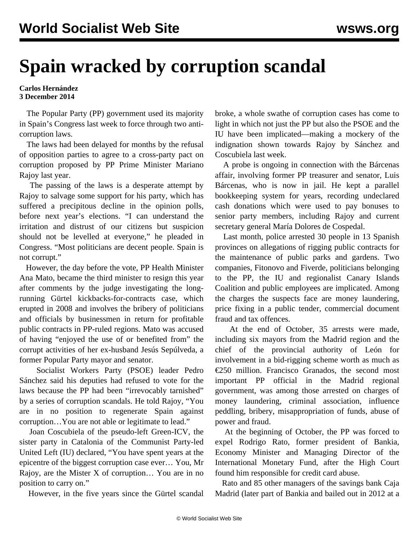## **Spain wracked by corruption scandal**

## **Carlos Hernández 3 December 2014**

 The Popular Party (PP) government used its majority in Spain's Congress last week to force through two anticorruption laws.

 The laws had been delayed for months by the refusal of opposition parties to agree to a cross-party pact on corruption proposed by PP Prime Minister Mariano Rajoy last year.

 The passing of the laws is a desperate attempt by Rajoy to salvage some support for his party, which has suffered a precipitous decline in the opinion polls, before next year's elections. "I can understand the irritation and distrust of our citizens but suspicion should not be levelled at everyone," he pleaded in Congress. "Most politicians are decent people. Spain is not corrupt."

 However, the day before the vote, PP Health Minister Ana Mato, became the third minister to resign this year after comments by the judge investigating the longrunning [Gürtel](/en/articles/2010/09/spai-s01.html) kickbacks-for-contracts case, which erupted in 2008 and involves the bribery of politicians and officials by businessmen in return for profitable public contracts in PP-ruled regions. Mato was accused of having "enjoyed the use of or benefited from" the corrupt activities of her ex-husband Jesús Sepúlveda, a former Popular Party mayor and senator.

 Socialist Workers Party (PSOE) leader Pedro Sánchez said his deputies had refused to vote for the laws because the PP had been "irrevocably tarnished" by a series of corruption scandals. He told Rajoy, "You are in no position to regenerate Spain against corruption…You are not able or legitimate to lead."

 Joan Coscubiela of the pseudo-left Green-ICV, the sister party in Catalonia of the Communist Party-led United Left (IU) declared, "You have spent years at the epicentre of the biggest corruption case ever… You, Mr Rajoy, are the Mister X of corruption… You are in no position to carry on."

However, in the five years since the Gürtel scandal

broke, a whole swathe of corruption cases has come to light in which not just the PP but also the PSOE and the IU have been implicated—making a mockery of the indignation shown towards Rajoy by Sánchez and Coscubiela last week.

 A probe is ongoing in connection with the [Bárcenas](/en/articles/2013/07/13/spai-j13.html) affair, involving former PP treasurer and senator, Luis Bárcenas, who is now in jail. He kept a parallel bookkeeping system for years, recording undeclared cash donations which were used to pay bonuses to senior party members, including Rajoy and current secretary general María Dolores de Cospedal.

 Last month, police arrested 30 people in 13 Spanish provinces on allegations of rigging public contracts for the maintenance of public parks and gardens. Two companies, Fitonovo and Fiverde, politicians belonging to the PP, the IU and regionalist Canary Islands Coalition and public employees are implicated. Among the charges the suspects face are money laundering, price fixing in a public tender, commercial document fraud and tax offences.

 At the end of October, 35 arrests were made, including six mayors from the Madrid region and the chief of the provincial authority of León for involvement in a bid-rigging scheme worth as much as €250 million. Francisco Granados, the second most important PP official in the Madrid regional government, was among those arrested on charges of money laundering, criminal association, influence peddling, bribery, misappropriation of funds, abuse of power and fraud.

 At the beginning of October, the PP was forced to expel Rodrigo Rato, former president of Bankia, Economy Minister and Managing Director of the International Monetary Fund, after the High Court found him responsible for credit card abuse.

 Rato and 85 other managers of the savings bank Caja Madrid (later part of Bankia and bailed out in 2012 at a